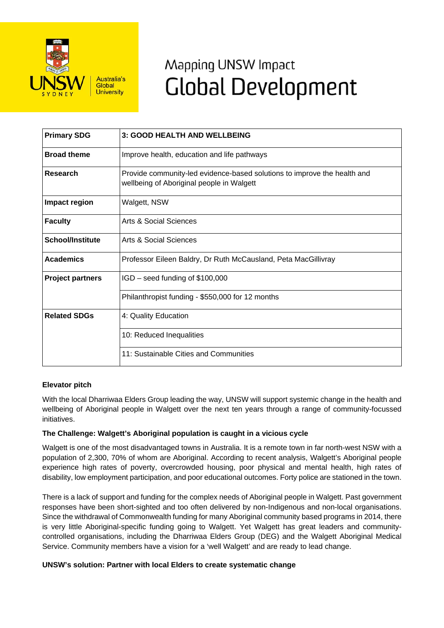

# Mapping UNSW Impact **Global Development**

| <b>Primary SDG</b>      | 3: GOOD HEALTH AND WELLBEING                                                                                          |
|-------------------------|-----------------------------------------------------------------------------------------------------------------------|
| <b>Broad theme</b>      | Improve health, education and life pathways                                                                           |
| <b>Research</b>         | Provide community-led evidence-based solutions to improve the health and<br>wellbeing of Aboriginal people in Walgett |
| Impact region           | Walgett, NSW                                                                                                          |
| <b>Faculty</b>          | Arts & Social Sciences                                                                                                |
| School/Institute        | <b>Arts &amp; Social Sciences</b>                                                                                     |
| <b>Academics</b>        | Professor Eileen Baldry, Dr Ruth McCausland, Peta MacGillivray                                                        |
| <b>Project partners</b> | IGD – seed funding of \$100,000                                                                                       |
|                         | Philanthropist funding - \$550,000 for 12 months                                                                      |
| <b>Related SDGs</b>     | 4: Quality Education                                                                                                  |
|                         | 10: Reduced Inequalities                                                                                              |
|                         | 11: Sustainable Cities and Communities                                                                                |

## **Elevator pitch**

With the local Dharriwaa Elders Group leading the way, UNSW will support systemic change in the health and wellbeing of Aboriginal people in Walgett over the next ten years through a range of community-focussed initiatives.

## **The Challenge: Walgett's Aboriginal population is caught in a vicious cycle**

Walgett is one of the most disadvantaged towns in Australia. It is a remote town in far north-west NSW with a population of 2,300, 70% of whom are Aboriginal. According to recent analysis, Walgett's Aboriginal people experience high rates of poverty, overcrowded housing, poor physical and mental health, high rates of disability, low employment participation, and poor educational outcomes. Forty police are stationed in the town.

There is a lack of support and funding for the complex needs of Aboriginal people in Walgett. Past government responses have been short-sighted and too often delivered by non-Indigenous and non-local organisations. Since the withdrawal of Commonwealth funding for many Aboriginal community based programs in 2014, there is very little Aboriginal-specific funding going to Walgett. Yet Walgett has great leaders and communitycontrolled organisations, including the Dharriwaa Elders Group (DEG) and the Walgett Aboriginal Medical Service. Community members have a vision for a 'well Walgett' and are ready to lead change.

## **UNSW's solution: Partner with local Elders to create systematic change**